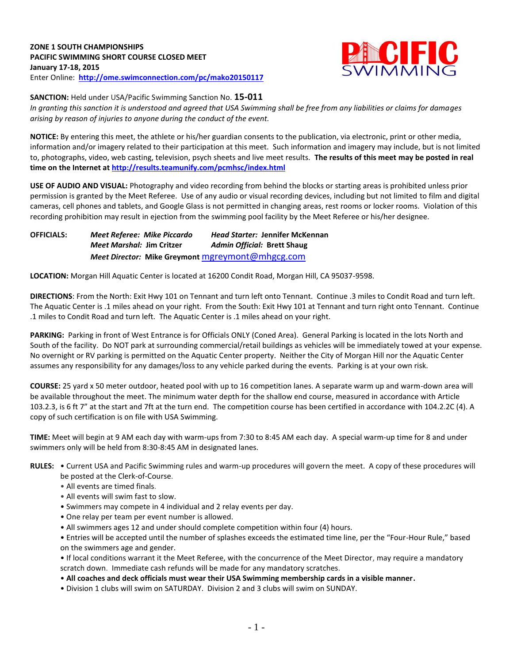

**SANCTION:** Held under USA/Pacific Swimming Sanction No. **15-011**

*In granting this sanction it is understood and agreed that USA Swimming shall be free from any liabilities or claims for damages arising by reason of injuries to anyone during the conduct of the event.*

**NOTICE:** By entering this meet, the athlete or his/her guardian consents to the publication, via electronic, print or other media, information and/or imagery related to their participation at this meet. Such information and imagery may include, but is not limited to, photographs, video, web casting, television, psych sheets and live meet results. **The results of this meet may be posted in real time on the Internet a[t http://results.teamunify.com/pcmhsc/index.html](http://results.teamunify.com/pcmhsc/index.html)**

**USE OF AUDIO AND VISUAL:** Photography and video recording from behind the blocks or starting areas is prohibited unless prior permission is granted by the Meet Referee. Use of any audio or visual recording devices, including but not limited to film and digital cameras, cell phones and tablets, and Google Glass is not permitted in changing areas, rest rooms or locker rooms. Violation of this recording prohibition may result in ejection from the swimming pool facility by the Meet Referee or his/her designee.

**OFFICIALS:** *Meet Referee: Mike Piccardo Head Starter:* **Jennifer McKennan**  *Meet Marshal:* **Jim Critzer** *Admin Official:* **Brett Shaug** *Meet Director:* **Mike Greymont** [mgreymont@mhgcg.com](mailto:mgreymont@mhgcg.com)

**LOCATION:** Morgan Hill Aquatic Center is located at 16200 Condit Road, Morgan Hill, CA 95037-9598.

**DIRECTIONS**: From the North: Exit Hwy 101 on Tennant and turn left onto Tennant. Continue .3 miles to Condit Road and turn left. The Aquatic Center is .1 miles ahead on your right. From the South: Exit Hwy 101 at Tennant and turn right onto Tennant. Continue .1 miles to Condit Road and turn left. The Aquatic Center is .1 miles ahead on your right.

**PARKING:** Parking in front of West Entrance is for Officials ONLY (Coned Area). General Parking is located in the lots North and South of the facility. Do NOT park at surrounding commercial/retail buildings as vehicles will be immediately towed at your expense. No overnight or RV parking is permitted on the Aquatic Center property. Neither the City of Morgan Hill nor the Aquatic Center assumes any responsibility for any damages/loss to any vehicle parked during the events. Parking is at your own risk.

**COURSE:** 25 yard x 50 meter outdoor, heated pool with up to 16 competition lanes. A separate warm up and warm-down area will be available throughout the meet. The minimum water depth for the shallow end course, measured in accordance with Article 103.2.3, is 6 ft 7" at the start and 7ft at the turn end. The competition course has been certified in accordance with 104.2.2C (4). A copy of such certification is on file with USA Swimming.

**TIME:** Meet will begin at 9 AM each day with warm-ups from 7:30 to 8:45 AM each day. A special warm-up time for 8 and under swimmers only will be held from 8:30-8:45 AM in designated lanes.

- **RULES:** Current USA and Pacific Swimming rules and warm-up procedures will govern the meet. A copy of these procedures will be posted at the Clerk-of-Course.
	- All events are timed finals.
	- All events will swim fast to slow.
	- Swimmers may compete in 4 individual and 2 relay events per day.
	- One relay per team per event number is allowed.
	- All swimmers ages 12 and under should complete competition within four (4) hours.
	- Entries will be accepted until the number of splashes exceeds the estimated time line, per the "Four-Hour Rule," based on the swimmers age and gender.

• If local conditions warrant it the Meet Referee, with the concurrence of the Meet Director, may require a mandatory scratch down. Immediate cash refunds will be made for any mandatory scratches.

- **All coaches and deck officials must wear their USA Swimming membership cards in a visible manner.**
- Division 1 clubs will swim on SATURDAY. Division 2 and 3 clubs will swim on SUNDAY.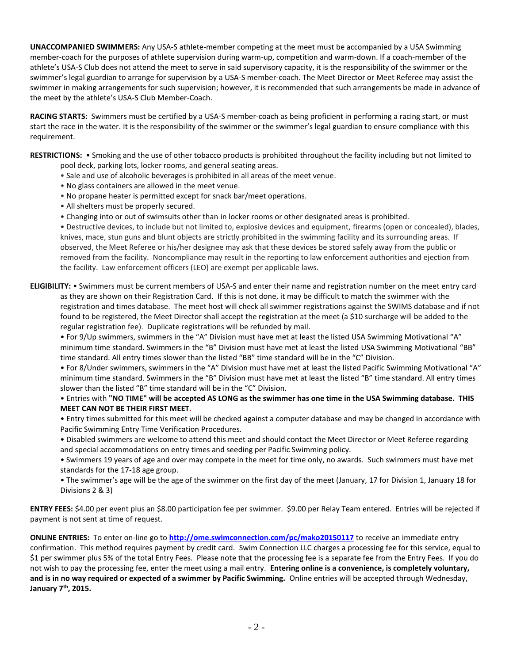**UNACCOMPANIED SWIMMERS:** Any USA-S athlete-member competing at the meet must be accompanied by a USA Swimming member-coach for the purposes of athlete supervision during warm-up, competition and warm-down. If a coach-member of the athlete's USA-S Club does not attend the meet to serve in said supervisory capacity, it is the responsibility of the swimmer or the swimmer's legal guardian to arrange for supervision by a USA-S member-coach. The Meet Director or Meet Referee may assist the swimmer in making arrangements for such supervision; however, it is recommended that such arrangements be made in advance of the meet by the athlete's USA-S Club Member-Coach.

**RACING STARTS:** Swimmers must be certified by a USA-S member-coach as being proficient in performing a racing start, or must start the race in the water. It is the responsibility of the swimmer or the swimmer's legal guardian to ensure compliance with this requirement.

**RESTRICTIONS:** • Smoking and the use of other tobacco products is prohibited throughout the facility including but not limited to pool deck, parking lots, locker rooms, and general seating areas.

- Sale and use of alcoholic beverages is prohibited in all areas of the meet venue.
- No glass containers are allowed in the meet venue.
- No propane heater is permitted except for snack bar/meet operations.
- All shelters must be properly secured.
- Changing into or out of swimsuits other than in locker rooms or other designated areas is prohibited.

• Destructive devices, to include but not limited to, explosive devices and equipment, firearms (open or concealed), blades, knives, mace, stun guns and blunt objects are strictly prohibited in the swimming facility and its surrounding areas. If observed, the Meet Referee or his/her designee may ask that these devices be stored safely away from the public or removed from the facility. Noncompliance may result in the reporting to law enforcement authorities and ejection from the facility. Law enforcement officers (LEO) are exempt per applicable laws.

**ELIGIBILITY:** • Swimmers must be current members of USA-S and enter their name and registration number on the meet entry card as they are shown on their Registration Card. If this is not done, it may be difficult to match the swimmer with the registration and times database. The meet host will check all swimmer registrations against the SWIMS database and if not found to be registered, the Meet Director shall accept the registration at the meet (a \$10 surcharge will be added to the regular registration fee). Duplicate registrations will be refunded by mail.

• For 9/Up swimmers, swimmers in the "A" Division must have met at least the listed USA Swimming Motivational "A" minimum time standard. Swimmers in the "B" Division must have met at least the listed USA Swimming Motivational "BB" time standard. All entry times slower than the listed "BB" time standard will be in the "C" Division.

• For 8/Under swimmers, swimmers in the "A" Division must have met at least the listed Pacific Swimming Motivational "A" minimum time standard. Swimmers in the "B" Division must have met at least the listed "B" time standard. All entry times slower than the listed "B" time standard will be in the "C" Division.

### • Entries with **"NO TIME" will be accepted AS LONG as the swimmer has one time in the USA Swimming database. THIS MEET CAN NOT BE THEIR FIRST MEET.**

• Entry times submitted for this meet will be checked against a computer database and may be changed in accordance with Pacific Swimming Entry Time Verification Procedures.

• Disabled swimmers are welcome to attend this meet and should contact the Meet Director or Meet Referee regarding and special accommodations on entry times and seeding per Pacific Swimming policy.

• Swimmers 19 years of age and over may compete in the meet for time only, no awards. Such swimmers must have met standards for the 17-18 age group.

• The swimmer's age will be the age of the swimmer on the first day of the meet (January, 17 for Division 1, January 18 for Divisions 2 & 3)

**ENTRY FEES:** \$4.00 per event plus an \$8.00 participation fee per swimmer. \$9.00 per Relay Team entered. Entries will be rejected if payment is not sent at time of request.

**ONLINE ENTRIES:** To enter on-line go to **<http://ome.swimconnection.com/pc/mako20150117>** to receive an immediate entry confirmation. This method requires payment by credit card. Swim Connection LLC charges a processing fee for this service, equal to \$1 per swimmer plus 5% of the total Entry Fees. Please note that the processing fee is a separate fee from the Entry Fees. If you do not wish to pay the processing fee, enter the meet using a mail entry. **Entering online is a convenience, is completely voluntary, and is in no way required or expected of a swimmer by Pacific Swimming.** Online entries will be accepted through Wednesday, **January 7th, 2015.**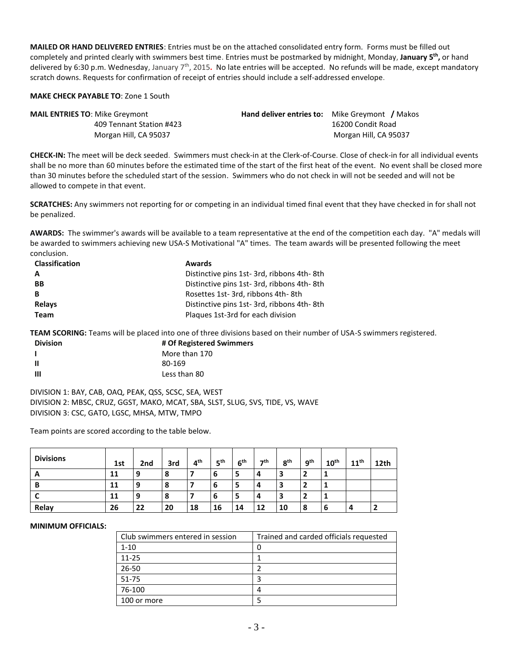**MAILED OR HAND DELIVERED ENTRIES**: Entries must be on the attached consolidated entry form. Forms must be filled out completely and printed clearly with swimmers best time. Entries must be postmarked by midnight, Monday, **January 5th ,** or hand delivered by 6:30 p.m. Wednesday, January 7<sup>th</sup>, 2015. No late entries will be accepted. No refunds will be made, except mandatory scratch downs. Requests for confirmation of receipt of entries should include a self-addressed envelope.

#### **MAKE CHECK PAYABLE TO**: Zone 1 South

| <b>MAIL ENTRIES TO: Mike Greymont</b> | <b>Hand deliver entries to:</b> Mike Greymont / Makos |
|---------------------------------------|-------------------------------------------------------|
| 409 Tennant Station #423              | 16200 Condit Road                                     |
| Morgan Hill, CA 95037                 | Morgan Hill, CA 95037                                 |

**CHECK-IN:** The meet will be deck seeded. Swimmers must check-in at the Clerk-of-Course. Close of check-in for all individual events shall be no more than 60 minutes before the estimated time of the start of the first heat of the event. No event shall be closed more than 30 minutes before the scheduled start of the session. Swimmers who do not check in will not be seeded and will not be allowed to compete in that event.

**SCRATCHES:** Any swimmers not reporting for or competing in an individual timed final event that they have checked in for shall not be penalized.

**AWARDS:** The swimmer's awards will be available to a team representative at the end of the competition each day. "A" medals will be awarded to swimmers achieving new USA-S Motivational "A" times. The team awards will be presented following the meet conclusion.

| <b>Classification</b> | <b>Awards</b>                             |
|-----------------------|-------------------------------------------|
| A                     | Distinctive pins 1st-3rd, ribbons 4th-8th |
| <b>BB</b>             | Distinctive pins 1st-3rd, ribbons 4th-8th |
| B                     | Rosettes 1st-3rd, ribbons 4th-8th         |
| Relays                | Distinctive pins 1st-3rd, ribbons 4th-8th |
| <b>Team</b>           | Plagues 1st-3rd for each division         |

**TEAM SCORING:** Teams will be placed into one of three divisions based on their number of USA-S swimmers registered.

| <b>Division</b> | # Of Registered Swimmers |
|-----------------|--------------------------|
|                 | More than 170            |
| ш               | 80-169                   |
| Ш               | Less than 80             |

DIVISION 1: BAY, CAB, OAQ, PEAK, QSS, SCSC, SEA, WEST DIVISION 2: MBSC, CRUZ, GGST, MAKO, MCAT, SBA, SLST, SLUG, SVS, TIDE, VS, WAVE DIVISION 3: CSC, GATO, LGSC, MHSA, MTW, TMPO

Team points are scored according to the table below.

| <b>Divisions</b> | 1st | 2 <sub>nd</sub> | 3rd | 4 <sup>th</sup> | 5 <sup>th</sup> | 6 <sup>th</sup> | -th | 8 <sup>th</sup> | 9 <sup>th</sup> | $10^{\text{th}}$ | 11 <sup>th</sup> | 12th |
|------------------|-----|-----------------|-----|-----------------|-----------------|-----------------|-----|-----------------|-----------------|------------------|------------------|------|
| A                | 11  | 9               | 8   |                 | 6               |                 | 4   |                 | 2               |                  |                  |      |
| B                | 11  | 9               | 8   |                 | 6               | э               | 4   |                 | $\overline{2}$  |                  |                  |      |
|                  | 11  | 9               | 8   |                 | 6               | э               | 4   | э               | $\overline{2}$  |                  |                  |      |
| Relay            | 26  | 22              | 20  | 18              | 16              | 14              | 12  | 10              | 8               | 6                |                  |      |

#### **MINIMUM OFFICIALS:**

| Club swimmers entered in session | Trained and carded officials requested |  |  |  |  |  |  |
|----------------------------------|----------------------------------------|--|--|--|--|--|--|
| $1 - 10$                         | 0                                      |  |  |  |  |  |  |
| $11 - 25$                        |                                        |  |  |  |  |  |  |
| $26 - 50$                        |                                        |  |  |  |  |  |  |
| $51 - 75$                        | ς                                      |  |  |  |  |  |  |
| 76-100                           | 4                                      |  |  |  |  |  |  |
| 100 or more                      |                                        |  |  |  |  |  |  |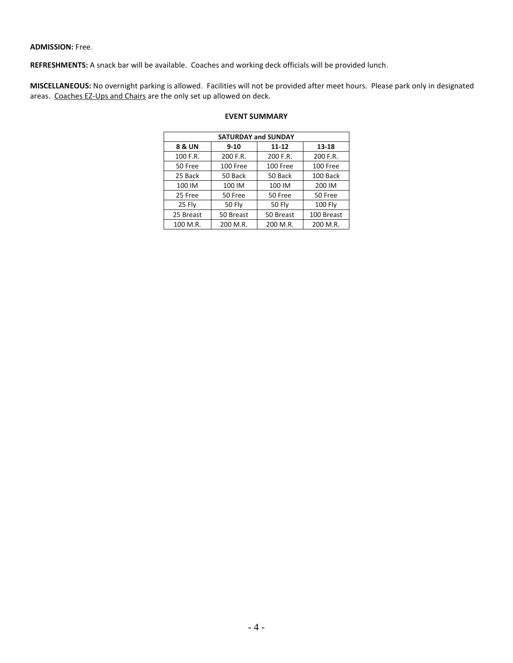### **ADMISSION:** Free.

**REFRESHMENTS:** A snack bar will be available. Coaches and working deck officials will be provided lunch.

**MISCELLANEOUS:** No overnight parking is allowed. Facilities will not be provided after meet hours. Please park only in designated areas. Coaches EZ-Ups and Chairs are the only set up allowed on deck.

| <b>SATURDAY and SUNDAY</b> |           |           |           |                    |  |  |  |  |  |  |  |  |
|----------------------------|-----------|-----------|-----------|--------------------|--|--|--|--|--|--|--|--|
|                            | 8 & UN    | $9 - 10$  | $11 - 12$ | 13-18              |  |  |  |  |  |  |  |  |
|                            | 100 F.R.  | 200 F.R.  | 200 F.R.  | 200 F.R.           |  |  |  |  |  |  |  |  |
|                            | 50 Free   | 100 Free  | 100 Free  | 100 Free           |  |  |  |  |  |  |  |  |
|                            | 25 Back   | 50 Back   | 50 Back   | 100 Back<br>200 IM |  |  |  |  |  |  |  |  |
|                            | 100 IM    | 100 IM    | 100 IM    |                    |  |  |  |  |  |  |  |  |
|                            | 25 Free   | 50 Free   | 50 Free   | 50 Free            |  |  |  |  |  |  |  |  |
|                            | 25 Fly    | 50 Fly    | 50 Fly    | <b>100 Fly</b>     |  |  |  |  |  |  |  |  |
|                            | 25 Breast | 50 Breast | 50 Breast | 100 Breast         |  |  |  |  |  |  |  |  |
|                            | 100 M.R.  | 200 M.R.  | 200 M.R.  | 200 M.R.           |  |  |  |  |  |  |  |  |

# **EVENT SUMMARY**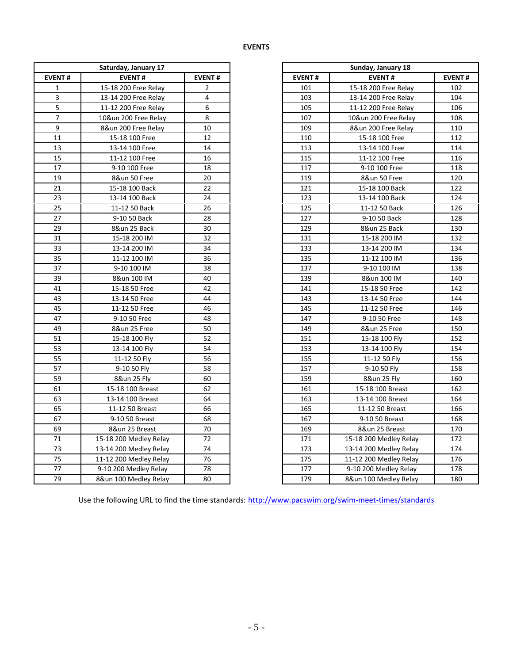## **EVENTS**

| Saturday, January 17 |                          |               |  |  |  |  |  |  |  |  |
|----------------------|--------------------------|---------------|--|--|--|--|--|--|--|--|
| <b>EVENT#</b>        | <b>EVENT#</b>            | <b>EVENT#</b> |  |  |  |  |  |  |  |  |
| 1                    | 15-18 200 Free Relay     | 2             |  |  |  |  |  |  |  |  |
| 3                    | 13-14 200 Free Relay     | 4             |  |  |  |  |  |  |  |  |
| 5                    | 11-12 200 Free Relay     | 6             |  |  |  |  |  |  |  |  |
| 7                    | 10&un 200 Free Relay     | 8             |  |  |  |  |  |  |  |  |
| 9                    | 8&un 200 Free Relay      | 10            |  |  |  |  |  |  |  |  |
| 11                   | 15-18 100 Free           | 12            |  |  |  |  |  |  |  |  |
| 13                   | 13-14 100 Free           | 14            |  |  |  |  |  |  |  |  |
| 15                   | 11-12 100 Free           | 16            |  |  |  |  |  |  |  |  |
| 17                   | 9-10 100 Free            | 18            |  |  |  |  |  |  |  |  |
| 19                   | 8&un 50 Free             | 20            |  |  |  |  |  |  |  |  |
| 21                   | 15-18 100 Back           | 22            |  |  |  |  |  |  |  |  |
| 23                   | 13-14 100 Back           | 24            |  |  |  |  |  |  |  |  |
| 25                   | 11-12 50 Back            | 26            |  |  |  |  |  |  |  |  |
| 27                   | 9-10 50 Back             | 28            |  |  |  |  |  |  |  |  |
| 29                   | 8&un 25 Back             | 30            |  |  |  |  |  |  |  |  |
| 31                   | 15-18 200 IM             | 32            |  |  |  |  |  |  |  |  |
| 33                   | 13-14 200 IM             | 34            |  |  |  |  |  |  |  |  |
| 35                   | 11-12 100 IM             | 36            |  |  |  |  |  |  |  |  |
| 37                   | 9-10 100 IM              | 38            |  |  |  |  |  |  |  |  |
| 39                   | 8&un 100 IM              | 40            |  |  |  |  |  |  |  |  |
| 41                   | 15-18 50 Free            | 42            |  |  |  |  |  |  |  |  |
| 43                   | 13-14 50 Free            | 44            |  |  |  |  |  |  |  |  |
| 45                   | 11-12 50 Free            | 46            |  |  |  |  |  |  |  |  |
| 47                   | 9-10 50 Free             | 48            |  |  |  |  |  |  |  |  |
| 49                   | 8&un 25 Free             | 50            |  |  |  |  |  |  |  |  |
| 51                   | 15-18 100 Fly            | 52            |  |  |  |  |  |  |  |  |
| 53                   | 13-14 100 Fly            | 54            |  |  |  |  |  |  |  |  |
| 55                   | 11-12 50 Fly             | 56            |  |  |  |  |  |  |  |  |
| 57                   | 9-10 50 Fly              | 58            |  |  |  |  |  |  |  |  |
| 59                   | 8&un 25 Fly              | 60            |  |  |  |  |  |  |  |  |
| 61                   | 15-18 100 Breast         | 62            |  |  |  |  |  |  |  |  |
| 63                   | 13-14 100 Breast         | 64            |  |  |  |  |  |  |  |  |
| 65                   | 11-12 50 Breast          | 66            |  |  |  |  |  |  |  |  |
| 67                   | 9-10 50 Breast           | 68            |  |  |  |  |  |  |  |  |
| 69                   | 8&un 25 Breast           | 70            |  |  |  |  |  |  |  |  |
| 71                   | 15-18 200 Medley Relay   | 72            |  |  |  |  |  |  |  |  |
| 73                   | 13-14 200 Medley Relay   | 74            |  |  |  |  |  |  |  |  |
| 75                   | $11-12$ 200 Medley Relay | 76            |  |  |  |  |  |  |  |  |
| 77                   | 9-10 200 Medley Relay    | 78            |  |  |  |  |  |  |  |  |
| 79                   | 8&un 100 Medley Relay    | 80            |  |  |  |  |  |  |  |  |

| Sunday, January 18 |                        |               |  |  |  |  |  |  |  |
|--------------------|------------------------|---------------|--|--|--|--|--|--|--|
| <b>EVENT#</b>      | <b>EVENT#</b>          | <b>EVENT#</b> |  |  |  |  |  |  |  |
| 101                | 15-18 200 Free Relay   | 102           |  |  |  |  |  |  |  |
| 103                | 13-14 200 Free Relay   | 104           |  |  |  |  |  |  |  |
| 105                | 11-12 200 Free Relay   | 106           |  |  |  |  |  |  |  |
| 107                | 10&un 200 Free Relay   | 108           |  |  |  |  |  |  |  |
| 109                | 8&un 200 Free Relay    | 110           |  |  |  |  |  |  |  |
| 110                | 15-18 100 Free         | 112           |  |  |  |  |  |  |  |
| 113                | 13-14 100 Free         | 114           |  |  |  |  |  |  |  |
| 115                | 11-12 100 Free         | 116           |  |  |  |  |  |  |  |
| 117                | 9-10 100 Free          | 118           |  |  |  |  |  |  |  |
| 119                | 8&un 50 Free           | 120           |  |  |  |  |  |  |  |
| 121                | 15-18 100 Back         | 122           |  |  |  |  |  |  |  |
| 123                | 13-14 100 Back         | 124           |  |  |  |  |  |  |  |
| 125                | 11-12 50 Back          | 126           |  |  |  |  |  |  |  |
| 127                | 9-10 50 Back           | 128           |  |  |  |  |  |  |  |
| 129                | 8&un 25 Back           | 130           |  |  |  |  |  |  |  |
| 131                | 15-18 200 IM           | 132           |  |  |  |  |  |  |  |
| 133                | 13-14 200 IM           | 134           |  |  |  |  |  |  |  |
| 135                | 11-12 100 IM           | 136           |  |  |  |  |  |  |  |
| 137                | 9-10 100 IM            | 138           |  |  |  |  |  |  |  |
| 139                | 8&un 100 IM            | 140           |  |  |  |  |  |  |  |
| 141                | 15-18 50 Free          | 142           |  |  |  |  |  |  |  |
| 143                | 13-14 50 Free          | 144           |  |  |  |  |  |  |  |
| 145                | 11-12 50 Free          | 146           |  |  |  |  |  |  |  |
| 147                | 9-10 50 Free           | 148           |  |  |  |  |  |  |  |
| 149                | 8&un 25 Free           | 150           |  |  |  |  |  |  |  |
| 151                | 15-18 100 Fly          | 152           |  |  |  |  |  |  |  |
| 153                | 13-14 100 Fly          | 154           |  |  |  |  |  |  |  |
| 155                | 11-12 50 Fly           | 156           |  |  |  |  |  |  |  |
| 157                | 9-10 50 Fly            | 158           |  |  |  |  |  |  |  |
| 159                | 8&un 25 Fly            | 160           |  |  |  |  |  |  |  |
| 161                | 15-18 100 Breast       | 162           |  |  |  |  |  |  |  |
| 163                | 13-14 100 Breast       | 164           |  |  |  |  |  |  |  |
| 165                | 11-12 50 Breast        | 166           |  |  |  |  |  |  |  |
| 167                | 9-10 50 Breast         | 168           |  |  |  |  |  |  |  |
| 169                | 8&un 25 Breast         | 170           |  |  |  |  |  |  |  |
| 171                | 15-18 200 Medley Relay | 172           |  |  |  |  |  |  |  |
| 173                | 13-14 200 Medley Relay | 174           |  |  |  |  |  |  |  |
| 175                | 11-12 200 Medley Relay | 176           |  |  |  |  |  |  |  |
| 177                | 9-10 200 Medley Relay  | 178           |  |  |  |  |  |  |  |
| 179                | 8&un 100 Medley Relay  | 180           |  |  |  |  |  |  |  |

Use the following URL to find the time standards: http://www.pacswim.org/swim-meet-times/standards